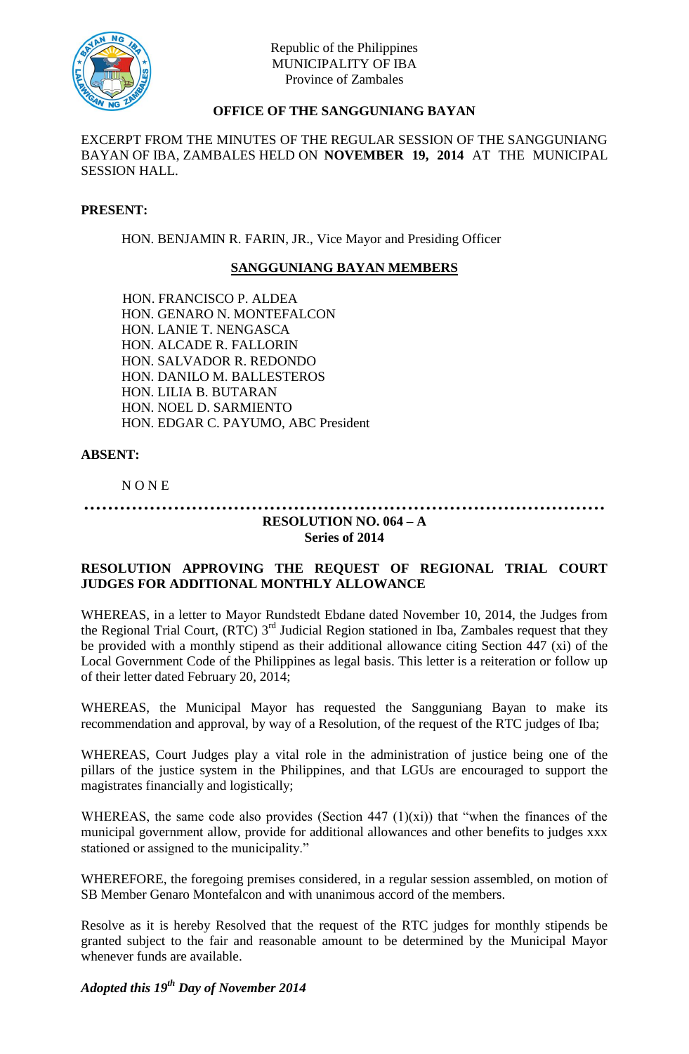

# **OFFICE OF THE SANGGUNIANG BAYAN**

EXCERPT FROM THE MINUTES OF THE REGULAR SESSION OF THE SANGGUNIANG BAYAN OF IBA, ZAMBALES HELD ON **NOVEMBER 19, 2014** AT THE MUNICIPAL SESSION HALL.

#### **PRESENT:**

HON. BENJAMIN R. FARIN, JR., Vice Mayor and Presiding Officer

## **SANGGUNIANG BAYAN MEMBERS**

HON. FRANCISCO P. ALDEA HON. GENARO N. MONTEFALCON HON. LANIE T. NENGASCA HON. ALCADE R. FALLORIN HON. SALVADOR R. REDONDO HON. DANILO M. BALLESTEROS HON. LILIA B. BUTARAN HON. NOEL D. SARMIENTO HON. EDGAR C. PAYUMO, ABC President

#### **ABSENT:**

N O N E

#### **…………………………………………………………………………… RESOLUTION NO. 064 – A**

## **Series of 2014**

## **RESOLUTION APPROVING THE REQUEST OF REGIONAL TRIAL COURT JUDGES FOR ADDITIONAL MONTHLY ALLOWANCE**

WHEREAS, in a letter to Mayor Rundstedt Ebdane dated November 10, 2014, the Judges from the Regional Trial Court, (RTC) 3<sup>rd</sup> Judicial Region stationed in Iba, Zambales request that they be provided with a monthly stipend as their additional allowance citing Section 447 (xi) of the Local Government Code of the Philippines as legal basis. This letter is a reiteration or follow up of their letter dated February 20, 2014;

WHEREAS, the Municipal Mayor has requested the Sangguniang Bayan to make its recommendation and approval, by way of a Resolution, of the request of the RTC judges of Iba;

WHEREAS, Court Judges play a vital role in the administration of justice being one of the pillars of the justice system in the Philippines, and that LGUs are encouraged to support the magistrates financially and logistically;

WHEREAS, the same code also provides (Section 447  $(1)(xi)$ ) that "when the finances of the municipal government allow, provide for additional allowances and other benefits to judges xxx stationed or assigned to the municipality."

WHEREFORE, the foregoing premises considered, in a regular session assembled, on motion of SB Member Genaro Montefalcon and with unanimous accord of the members.

Resolve as it is hereby Resolved that the request of the RTC judges for monthly stipends be granted subject to the fair and reasonable amount to be determined by the Municipal Mayor whenever funds are available.

*Adopted this 19 th Day of November 2014*